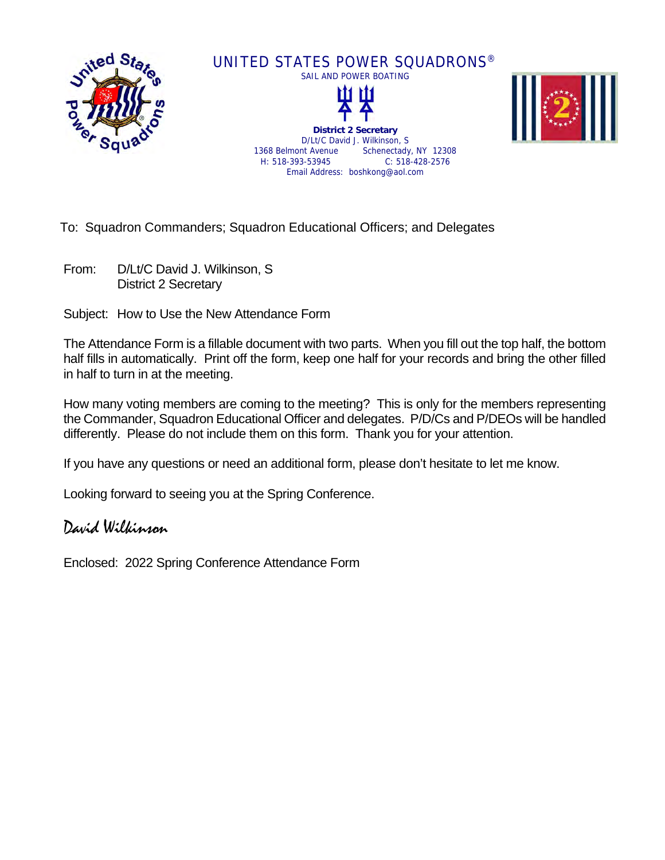

To: Squadron Commanders; Squadron Educational Officers; and Delegates

From: D/Lt/C David J. Wilkinson, S District 2 Secretary

Subject: How to Use the New Attendance Form

The Attendance Form is a fillable document with two parts. When you fill out the top half, the bottom half fills in automatically. Print off the form, keep one half for your records and bring the other filled in half to turn in at the meeting.

How many voting members are coming to the meeting? This is only for the members representing the Commander, Squadron Educational Officer and delegates. P/D/Cs and P/DEOs will be handled differently. Please do not include them on this form. Thank you for your attention.

If you have any questions or need an additional form, please don't hesitate to let me know.

Looking forward to seeing you at the Spring Conference.

## David Wilkinson

Enclosed: 2022 Spring Conference Attendance Form